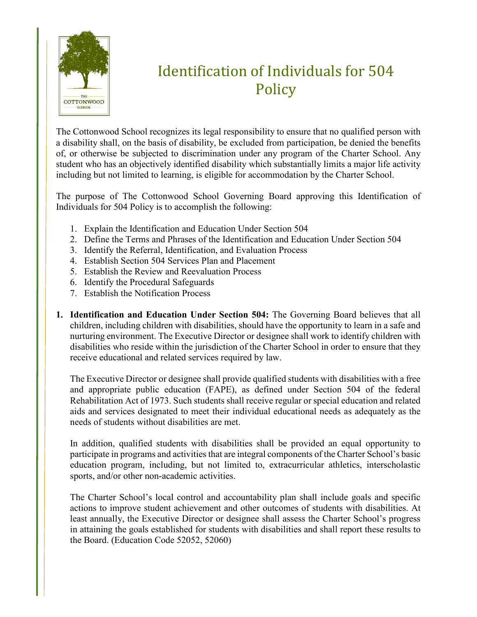

## Identification of Individuals for 504 **Policy**

The Cottonwood School recognizes its legal responsibility to ensure that no qualified person with a disability shall, on the basis of disability, be excluded from participation, be denied the benefits of, or otherwise be subjected to discrimination under any program of the Charter School. Any student who has an objectively identified disability which substantially limits a major life activity including but not limited to learning, is eligible for accommodation by the Charter School.

The purpose of The Cottonwood School Governing Board approving this Identification of Individuals for 504 Policy is to accomplish the following:

- 1. Explain the Identification and Education Under Section 504
- 2. Define the Terms and Phrases of the Identification and Education Under Section 504
- 3. Identify the Referral, Identification, and Evaluation Process
- 4. Establish Section 504 Services Plan and Placement
- 5. Establish the Review and Reevaluation Process
- 6. Identify the Procedural Safeguards
- 7. Establish the Notification Process
- **1. Identification and Education Under Section 504:** The Governing Board believes that all children, including children with disabilities, should have the opportunity to learn in a safe and nurturing environment. The Executive Director or designee shall work to identify children with disabilities who reside within the jurisdiction of the Charter School in order to ensure that they receive educational and related services required by law.

The Executive Director or designee shall provide qualified students with disabilities with a free and appropriate public education (FAPE), as defined under Section 504 of the federal Rehabilitation Act of 1973. Such students shall receive regular or special education and related aids and services designated to meet their individual educational needs as adequately as the needs of students without disabilities are met.

In addition, qualified students with disabilities shall be provided an equal opportunity to participate in programs and activities that are integral components of the Charter School's basic education program, including, but not limited to, extracurricular athletics, interscholastic sports, and/or other non-academic activities.

The Charter School's local control and accountability plan shall include goals and specific actions to improve student achievement and other outcomes of students with disabilities. At least annually, the Executive Director or designee shall assess the Charter School's progress in attaining the goals established for students with disabilities and shall report these results to the Board. (Education Code 52052, 52060)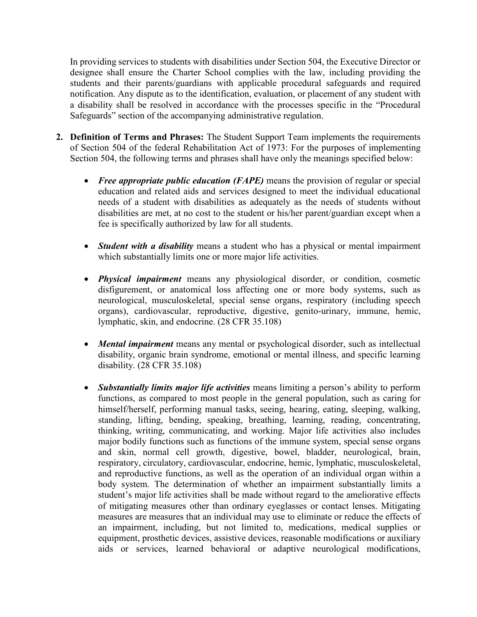In providing services to students with disabilities under Section 504, the Executive Director or designee shall ensure the Charter School complies with the law, including providing the students and their parents/guardians with applicable procedural safeguards and required notification. Any dispute as to the identification, evaluation, or placement of any student with a disability shall be resolved in accordance with the processes specific in the "Procedural Safeguards" section of the accompanying administrative regulation.

- **2. Definition of Terms and Phrases:** The Student Support Team implements the requirements of Section 504 of the federal Rehabilitation Act of 1973: For the purposes of implementing Section 504, the following terms and phrases shall have only the meanings specified below:
	- *Free appropriate public education (FAPE)* means the provision of regular or special education and related aids and services designed to meet the individual educational needs of a student with disabilities as adequately as the needs of students without disabilities are met, at no cost to the student or his/her parent/guardian except when a fee is specifically authorized by law for all students.
	- *Student with a disability* means a student who has a physical or mental impairment which substantially limits one or more major life activities.
	- *Physical impairment* means any physiological disorder, or condition, cosmetic disfigurement, or anatomical loss affecting one or more body systems, such as neurological, musculoskeletal, special sense organs, respiratory (including speech organs), cardiovascular, reproductive, digestive, genito-urinary, immune, hemic, lymphatic, skin, and endocrine. (28 CFR 35.108)
	- *Mental impairment* means any mental or psychological disorder, such as intellectual disability, organic brain syndrome, emotional or mental illness, and specific learning disability. (28 CFR 35.108)
	- *Substantially limits major life activities* means limiting a person's ability to perform functions, as compared to most people in the general population, such as caring for himself/herself, performing manual tasks, seeing, hearing, eating, sleeping, walking, standing, lifting, bending, speaking, breathing, learning, reading, concentrating, thinking, writing, communicating, and working. Major life activities also includes major bodily functions such as functions of the immune system, special sense organs and skin, normal cell growth, digestive, bowel, bladder, neurological, brain, respiratory, circulatory, cardiovascular, endocrine, hemic, lymphatic, musculoskeletal, and reproductive functions, as well as the operation of an individual organ within a body system. The determination of whether an impairment substantially limits a student's major life activities shall be made without regard to the ameliorative effects of mitigating measures other than ordinary eyeglasses or contact lenses. Mitigating measures are measures that an individual may use to eliminate or reduce the effects of an impairment, including, but not limited to, medications, medical supplies or equipment, prosthetic devices, assistive devices, reasonable modifications or auxiliary aids or services, learned behavioral or adaptive neurological modifications,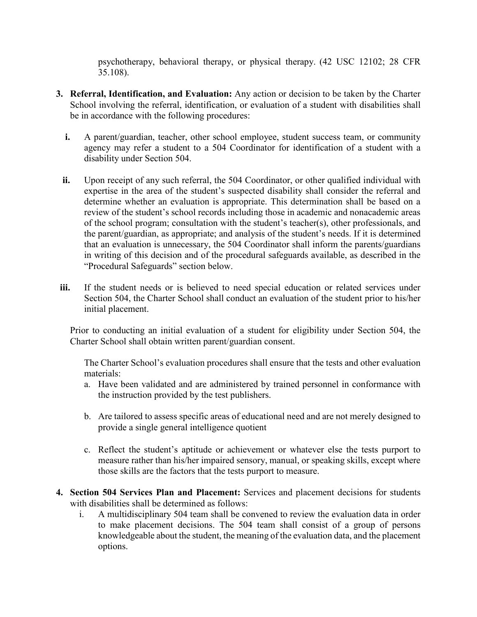psychotherapy, behavioral therapy, or physical therapy. (42 USC 12102; 28 CFR 35.108).

- **3. Referral, Identification, and Evaluation:** Any action or decision to be taken by the Charter School involving the referral, identification, or evaluation of a student with disabilities shall be in accordance with the following procedures:
	- **i.** A parent/guardian, teacher, other school employee, student success team, or community agency may refer a student to a 504 Coordinator for identification of a student with a disability under Section 504.
	- **ii.** Upon receipt of any such referral, the 504 Coordinator, or other qualified individual with expertise in the area of the student's suspected disability shall consider the referral and determine whether an evaluation is appropriate. This determination shall be based on a review of the student's school records including those in academic and nonacademic areas of the school program; consultation with the student's teacher(s), other professionals, and the parent/guardian, as appropriate; and analysis of the student's needs. If it is determined that an evaluation is unnecessary, the 504 Coordinator shall inform the parents/guardians in writing of this decision and of the procedural safeguards available, as described in the "Procedural Safeguards" section below.
- **iii.** If the student needs or is believed to need special education or related services under Section 504, the Charter School shall conduct an evaluation of the student prior to his/her initial placement.

Prior to conducting an initial evaluation of a student for eligibility under Section 504, the Charter School shall obtain written parent/guardian consent.

The Charter School's evaluation procedures shall ensure that the tests and other evaluation materials:

- a. Have been validated and are administered by trained personnel in conformance with the instruction provided by the test publishers.
- b. Are tailored to assess specific areas of educational need and are not merely designed to provide a single general intelligence quotient
- c. Reflect the student's aptitude or achievement or whatever else the tests purport to measure rather than his/her impaired sensory, manual, or speaking skills, except where those skills are the factors that the tests purport to measure.
- **4. Section 504 Services Plan and Placement:** Services and placement decisions for students with disabilities shall be determined as follows:
	- i. A multidisciplinary 504 team shall be convened to review the evaluation data in order to make placement decisions. The 504 team shall consist of a group of persons knowledgeable about the student, the meaning of the evaluation data, and the placement options.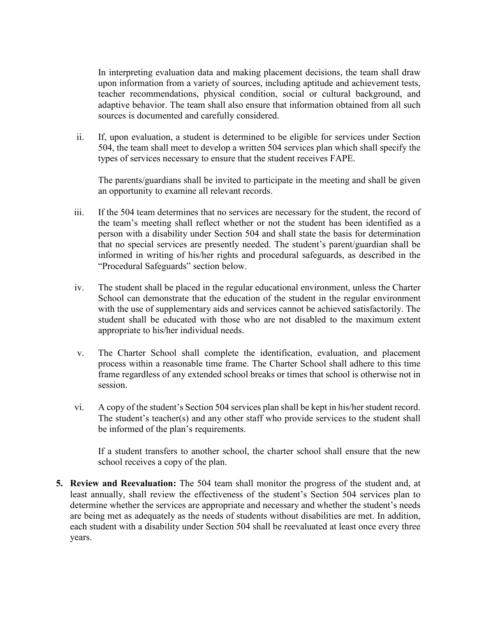In interpreting evaluation data and making placement decisions, the team shall draw upon information from a variety of sources, including aptitude and achievement tests, teacher recommendations, physical condition, social or cultural background, and adaptive behavior. The team shall also ensure that information obtained from all such sources is documented and carefully considered.

ii. If, upon evaluation, a student is determined to be eligible for services under Section 504, the team shall meet to develop a written 504 services plan which shall specify the types of services necessary to ensure that the student receives FAPE.

The parents/guardians shall be invited to participate in the meeting and shall be given an opportunity to examine all relevant records.

- iii. If the 504 team determines that no services are necessary for the student, the record of the team's meeting shall reflect whether or not the student has been identified as a person with a disability under Section 504 and shall state the basis for determination that no special services are presently needed. The student's parent/guardian shall be informed in writing of his/her rights and procedural safeguards, as described in the "Procedural Safeguards" section below.
- iv. The student shall be placed in the regular educational environment, unless the Charter School can demonstrate that the education of the student in the regular environment with the use of supplementary aids and services cannot be achieved satisfactorily. The student shall be educated with those who are not disabled to the maximum extent appropriate to his/her individual needs.
- v. The Charter School shall complete the identification, evaluation, and placement process within a reasonable time frame. The Charter School shall adhere to this time frame regardless of any extended school breaks or times that school is otherwise not in session.
- vi. A copy of the student's Section 504 services plan shall be kept in his/her student record. The student's teacher(s) and any other staff who provide services to the student shall be informed of the plan's requirements.

If a student transfers to another school, the charter school shall ensure that the new school receives a copy of the plan.

**5. Review and Reevaluation:** The 504 team shall monitor the progress of the student and, at least annually, shall review the effectiveness of the student's Section 504 services plan to determine whether the services are appropriate and necessary and whether the student's needs are being met as adequately as the needs of students without disabilities are met. In addition, each student with a disability under Section 504 shall be reevaluated at least once every three years.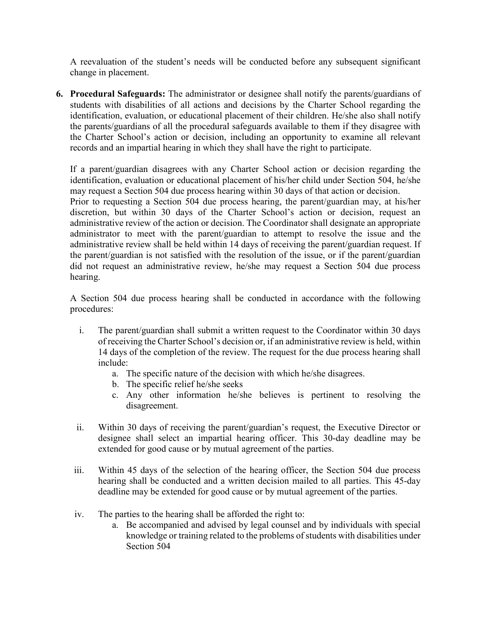A reevaluation of the student's needs will be conducted before any subsequent significant change in placement.

**6. Procedural Safeguards:** The administrator or designee shall notify the parents/guardians of students with disabilities of all actions and decisions by the Charter School regarding the identification, evaluation, or educational placement of their children. He/she also shall notify the parents/guardians of all the procedural safeguards available to them if they disagree with the Charter School's action or decision, including an opportunity to examine all relevant records and an impartial hearing in which they shall have the right to participate.

If a parent/guardian disagrees with any Charter School action or decision regarding the identification, evaluation or educational placement of his/her child under Section 504, he/she may request a Section 504 due process hearing within 30 days of that action or decision. Prior to requesting a Section 504 due process hearing, the parent/guardian may, at his/her discretion, but within 30 days of the Charter School's action or decision, request an administrative review of the action or decision. The Coordinator shall designate an appropriate administrator to meet with the parent/guardian to attempt to resolve the issue and the administrative review shall be held within 14 days of receiving the parent/guardian request. If the parent/guardian is not satisfied with the resolution of the issue, or if the parent/guardian did not request an administrative review, he/she may request a Section 504 due process hearing.

A Section 504 due process hearing shall be conducted in accordance with the following procedures:

- i. The parent/guardian shall submit a written request to the Coordinator within 30 days of receiving the Charter School's decision or, if an administrative review is held, within 14 days of the completion of the review. The request for the due process hearing shall include:
	- a. The specific nature of the decision with which he/she disagrees.
	- b. The specific relief he/she seeks
	- c. Any other information he/she believes is pertinent to resolving the disagreement.
- ii. Within 30 days of receiving the parent/guardian's request, the Executive Director or designee shall select an impartial hearing officer. This 30-day deadline may be extended for good cause or by mutual agreement of the parties.
- iii. Within 45 days of the selection of the hearing officer, the Section 504 due process hearing shall be conducted and a written decision mailed to all parties. This 45-day deadline may be extended for good cause or by mutual agreement of the parties.
- iv. The parties to the hearing shall be afforded the right to:
	- a. Be accompanied and advised by legal counsel and by individuals with special knowledge or training related to the problems of students with disabilities under Section 504